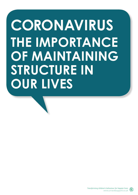# **CORONAVIRUS THE IMPORTANCE OF MAINTAINING STRUCTURE IN OUR LIVES**

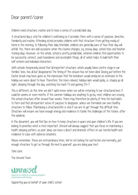### Dear parent/carer

Children need structure, routine and to have a sense of a predictable day.

A structured day is vital for children's well-being as it provides them with a sense of purpose, direction, familiarity and routine. Attending school provides children with that structure. From getting ready at home in the morning, to following their daily timetable, children are generally sure of how their day will unfold. Yes, there are odd occasions when the routine changes, e.g. snowy days, school trips and teacher training days. However, on the whole, school is pretty predictable, wherein children find opportunities to be successful, connect, push boundaries and accomplish things, all of which helps to build both their self-esteem and individual characters.

With schools temporarily closed that all-important structure, which usually takes centre stage in our families' lives, has all but disappeared. The timing of the closure has not been ideal. Closing just before the Easter break may have given us the impression that the lockdown would simply be an extension to the holiday we were about to have. Therefore, the more relaxed, holiday rules would apply, i.e. staying up all night, sleeping through the day, watching too much TV and gaming 24/7.

This is different, as this time we don't quite know when we will be returning to our structured lives. It could be weeks or even months. If the summer holidays are anything to go by, most children are craving the school structure after around four weeks. There may therefore be plenty of time for bad habits to form and that all important sense of purpose to disappear, unless we formulate our own healthy structure to follow. Maintaining a structured life is vital if we are to get through this difficult time. Structure will ensure we have enough energy and resilience to tackle the challenges of the future, after the epidemic.

In this document, you will find tips on how to keep structure in yours and your children's life. If you are looking to priorities what is most important, Unravel will always suggest that you focus on maintaining a health sleeping pattern, as poor sleep can have a direct and dramatic effect on our mental health and resilience to cope with adverse situations.

Please remember, these are extraordinary times. We're not looking for perfection and normality, just enough structure to get us through. Be kind to yourself, you are doing your best.

Take care.

The Unravel Team



Supporting you on behalf of your child's school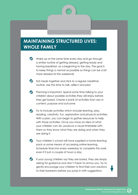#### **MAINTAINING STRUCTURED LIVES: WHOLE FAMILY**

- Wake up at the same time every day and go through a similar routine of getting dressed, getting ready and having breakfast, as a beginning to the day. The goal is to keep things a normal as possible so things can be a bit more relaxed at the weekends
- **C** Eat meals together and stick to a regular mealtime routine. Use this time to talk, reflect and plan
- Planning is important. Spend some time talking to your children about possible activities they will enjoy before they get bored. Create a bank of activities that vary in content, purpose and outcome
- $\bullet$  Try to include activities which include learning, play, reading, creativity, fun, exploration and physical activities. With a plan, you can begin to gather resources to help with those activities. Once you have an idea of what your children can do, produce a visual timetable with them so they know what they are doing and when they are doing it
- Your children's school will have supplied a home learning pack or some means of accessing online learning. Schedule time into every weekday to complete this work, even if it just a couple of hours a day.
- $\bigcup$  If your young children say they are bored, they are simply asking for guidance and don't mean to annoy you. Try to gently encourage your children to find their own solutions to their boredom before you jump in with suggestions

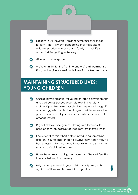**C** Lockdown will inevitably present numerous challenges for family life. It is worth considering that this is also a unique opportunity to bond as a family without life's responsibilities getting in the way



Give each other space

We're all in this for the first time and we're all learning. Be kind, and forgive yourself and others if mistakes are made.

#### **MAINTAINING STRUCTURED LIVES: YOUNG CHILDREN**

- Outside play is essential for young children's development and well-being. Schedule outside play in their daily routine. If possible, take your child to the park, although if advice suggests that this is no longer possible, explore the garden or any nearby outside space where contact with others is limited
- Dig out old toys and games. Playing with these could bring on familiar, positive feelings from less stressful times
- Keep activities fairly short before introducing something different. Young children don't always know when they've had enough, which can lead to frustration. This is why the school day is divided into blocks
- Have them join you doing the housework. They will feel like they are helping in some way

Fully immerse yourself in your child's activity. Be a child again. It will be deeply beneficial to you both.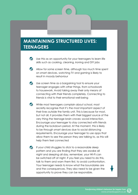#### **MAINTAINING STRUCTURED LIVES: TEENAGERS**

- Use this as an opportunity for your teenagers to learn life skills such as cooking, cleaning, ironing and DIY jobs
- Allow for some screen time, although too much time spent on smart devices, watching TV and gaming is likely to result in moody behaviour
- Use screen time as a bargaining tool to ensure your teenager engages with other things, from schoolwork to housework. Avoid taking away their only means of connecting with their friends completely. Connecting to friends is vital to their emotional well-being
- While most teenagers complain about school, most secretly recognise that it's the most important aspect of their lives outside the family unit. This is because for most, but not all, it provides them with their biggest source of the very thing the teenage brain craves: social interaction. Encourage your teenager to stay connected with friends during the lockdown period. At the moment, this is likely to be through smart devices due to social distancing requirements. Encourage your teenager to use apps that allow them to see the person they are talking to, as this will help them feel connected
- If your child struggles to stick to a reasonable sleep pattern and you are finding that they are awake all night and sleeping all day, remember, your Wi-Fi can be switched off at night. If you feel you need to do this, talk to them and warn them first, to avoid confrontation. Your teenager needs to know what the boundaries are and the consequences. They also need to be given the opportunity to prove they can be responsible.